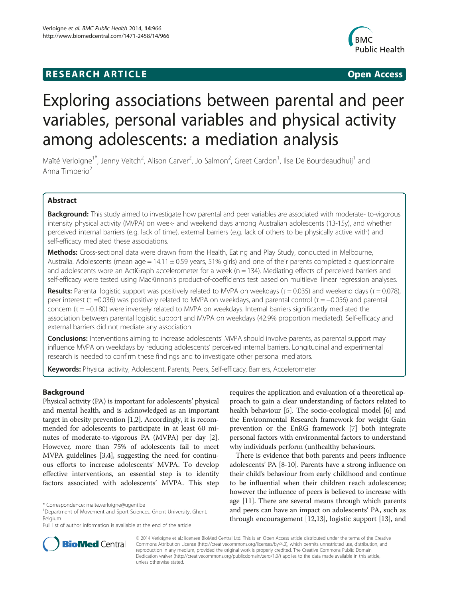## **RESEARCH ARTICLE Example 2014 12:30 The SEAR CHIPS 2014 12:30 The SEAR CHIPS 2014 12:30 The SEAR CHIPS 2014 12:30 The SEAR CHIPS 2014 12:30 The SEAR CHIPS 2014 12:30 THE SEARCH ARTICLE**



# Exploring associations between parental and peer variables, personal variables and physical activity among adolescents: a mediation analysis

Maïté Verloigne<sup>1\*</sup>, Jenny Veitch<sup>2</sup>, Alison Carver<sup>2</sup>, Jo Salmon<sup>2</sup>, Greet Cardon<sup>1</sup>, Ilse De Bourdeaudhuij<sup>1</sup> and Anna Timperio<sup>2</sup>

## Abstract

**Background:** This study aimed to investigate how parental and peer variables are associated with moderate- to-vigorous intensity physical activity (MVPA) on week- and weekend days among Australian adolescents (13-15y), and whether perceived internal barriers (e.g. lack of time), external barriers (e.g. lack of others to be physically active with) and self-efficacy mediated these associations.

Methods: Cross-sectional data were drawn from the Health, Eating and Play Study, conducted in Melbourne, Australia. Adolescents (mean age = 14.11  $\pm$  0.59 years, 51% girls) and one of their parents completed a questionnaire and adolescents wore an ActiGraph accelerometer for a week ( $n = 134$ ). Mediating effects of perceived barriers and self-efficacy were tested using MacKinnon's product-of-coefficients test based on multilevel linear regression analyses.

**Results:** Parental logistic support was positively related to MVPA on weekdays (τ = 0.035) and weekend days (τ = 0.078), peer interest (τ =0.036) was positively related to MVPA on weekdays, and parental control (τ = −0.056) and parental concern (τ = −0.180) were inversely related to MVPA on weekdays. Internal barriers significantly mediated the association between parental logistic support and MVPA on weekdays (42.9% proportion mediated). Self-efficacy and external barriers did not mediate any association.

**Conclusions:** Interventions aiming to increase adolescents' MVPA should involve parents, as parental support may influence MVPA on weekdays by reducing adolescents' perceived internal barriers. Longitudinal and experimental research is needed to confirm these findings and to investigate other personal mediators.

Keywords: Physical activity, Adolescent, Parents, Peers, Self-efficacy, Barriers, Accelerometer

## Background

Physical activity (PA) is important for adolescents' physical and mental health, and is acknowledged as an important target in obesity prevention [\[1,2\]](#page-9-0). Accordingly, it is recommended for adolescents to participate in at least 60 minutes of moderate-to-vigorous PA (MVPA) per day [[2](#page-9-0)]. However, more than 75% of adolescents fail to meet MVPA guidelines [\[3,4\]](#page-9-0), suggesting the need for continuous efforts to increase adolescents' MVPA. To develop effective interventions, an essential step is to identify factors associated with adolescents' MVPA. This step

requires the application and evaluation of a theoretical approach to gain a clear understanding of factors related to health behaviour [[5](#page-9-0)]. The socio-ecological model [\[6\]](#page-9-0) and the Environmental Research framework for weight Gain prevention or the EnRG framework [\[7](#page-9-0)] both integrate personal factors with environmental factors to understand why individuals perform (un)healthy behaviours.

There is evidence that both parents and peers influence adolescents' PA [\[8-10](#page-9-0)]. Parents have a strong influence on their child's behaviour from early childhood and continue to be influential when their children reach adolescence; however the influence of peers is believed to increase with age [[11](#page-10-0)]. There are several means through which parents and peers can have an impact on adolescents' PA, such as through encouragement [[12,13](#page-10-0)], logistic support [[13](#page-10-0)], and



© 2014 Verloigne et al.; licensee BioMed Central Ltd. This is an Open Access article distributed under the terms of the Creative Commons Attribution License [\(http://creativecommons.org/licenses/by/4.0\)](http://creativecommons.org/licenses/by/4.0), which permits unrestricted use, distribution, and reproduction in any medium, provided the original work is properly credited. The Creative Commons Public Domain Dedication waiver [\(http://creativecommons.org/publicdomain/zero/1.0/](http://creativecommons.org/publicdomain/zero/1.0/)) applies to the data made available in this article, unless otherwise stated.

<sup>\*</sup> Correspondence: [maite.verloigne@ugent.be](mailto:maite.verloigne@ugent.be) <sup>1</sup>

<sup>&</sup>lt;sup>1</sup>Department of Movement and Sport Sciences, Ghent University, Ghent, Belgium

Full list of author information is available at the end of the article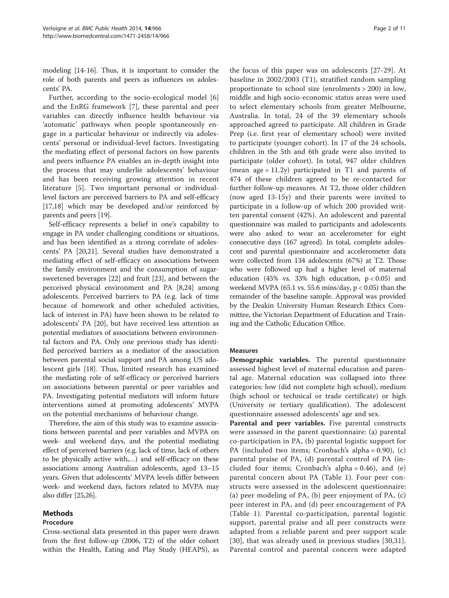modeling [[14](#page-10-0)-[16](#page-10-0)]. Thus, it is important to consider the role of both parents and peers as influences on adolescents' PA.

Further, according to the socio-ecological model [\[6](#page-9-0)] and the EnRG framework [[7\]](#page-9-0), these parental and peer variables can directly influence health behaviour via 'automatic' pathways when people spontaneously engage in a particular behaviour or indirectly via adolescents' personal or individual-level factors. Investigating the mediating effect of personal factors on how parents and peers influence PA enables an in-depth insight into the process that may underlie adolescents' behaviour and has been receiving growing attention in recent literature [[5\]](#page-9-0). Two important personal or individuallevel factors are perceived barriers to PA and self-efficacy [[17,18](#page-10-0)] which may be developed and/or reinforced by parents and peers [\[19\]](#page-10-0).

Self-efficacy represents a belief in one's capability to engage in PA under challenging conditions or situations, and has been identified as a strong correlate of adolescents' PA [\[20,21\]](#page-10-0). Several studies have demonstrated a mediating effect of self-efficacy on associations between the family environment and the consumption of sugarsweetened beverages [\[22](#page-10-0)] and fruit [[23\]](#page-10-0), and between the perceived physical environment and PA [\[8](#page-9-0)[,24](#page-10-0)] among adolescents. Perceived barriers to PA (e.g. lack of time because of homework and other scheduled activities, lack of interest in PA) have been shown to be related to adolescents' PA [[20\]](#page-10-0), but have received less attention as potential mediators of associations between environmental factors and PA. Only one previous study has identified perceived barriers as a mediator of the association between parental social support and PA among US adolescent girls [\[18](#page-10-0)]. Thus, limited research has examined the mediating role of self-efficacy or perceived barriers on associations between parental or peer variables and PA. Investigating potential mediators will inform future interventions aimed at promoting adolescents' MVPA on the potential mechanisms of behaviour change.

Therefore, the aim of this study was to examine associations between parental and peer variables and MVPA on week- and weekend days, and the potential mediating effect of perceived barriers (e.g. lack of time, lack of others to be physically active with,…) and self-efficacy on these associations among Australian adolescents, aged 13–15 years. Given that adolescents' MVPA levels differ between week- and weekend days, factors related to MVPA may also differ [[25,26\]](#page-10-0).

## Methods

#### Procedure

Cross-sectional data presented in this paper were drawn from the first follow-up (2006, T2) of the older cohort within the Health, Eating and Play Study (HEAPS), as the focus of this paper was on adolescents [\[27](#page-10-0)-[29\]](#page-10-0). At baseline in 2002/2003 (T1), stratified random sampling proportionate to school size (enrolments > 200) in low, middle and high socio-economic status areas were used to select elementary schools from greater Melbourne, Australia. In total, 24 of the 39 elementary schools approached agreed to participate. All children in Grade Prep (i.e. first year of elementary school) were invited to participate (younger cohort). In 17 of the 24 schools, children in the 5th and 6th grade were also invited to participate (older cohort). In total, 947 older children (mean  $age = 11.2y$ ) participated in T1 and parents of 474 of these children agreed to be re-contacted for further follow-up measures. At T2, those older children (now aged 13-15y) and their parents were invited to participate in a follow-up of which 200 provided written parental consent (42%). An adolescent and parental questionnaire was mailed to participants and adolescents were also asked to wear an accelerometer for eight consecutive days (167 agreed). In total, complete adolescent and parental questionnaire and accelerometer data were collected from 134 adolescents (67%) at T2. Those who were followed up had a higher level of maternal education (45% vs. 33% high education,  $p < 0.05$ ) and weekend MVPA (65.1 vs. 55.6 mins/day,  $p < 0.05$ ) than the remainder of the baseline sample. Approval was provided by the Deakin University Human Research Ethics Committee, the Victorian Department of Education and Training and the Catholic Education Office.

## Measures

Demographic variables. The parental questionnaire assessed highest level of maternal education and parental age. Maternal education was collapsed into three categories: low (did not complete high school), medium (high school or technical or trade certificate) or high (University or tertiary qualification). The adolescent questionnaire assessed adolescents' age and sex.

Parental and peer variables. Five parental constructs were assessed in the parent questionnaire: (a) parental co-participation in PA, (b) parental logistic support for PA (included two items; Cronbach's alpha = 0.90), (c) parental praise of PA, (d) parental control of PA (included four items; Cronbach's alpha =  $0.46$ ), and (e) parental concern about PA (Table [1\)](#page-2-0). Four peer constructs were assessed in the adolescent questionnaire: (a) peer modeling of PA, (b) peer enjoyment of PA, (c) peer interest in PA, and (d) peer encouragement of PA (Table [1\)](#page-2-0). Parental co-participation, parental logistic support, parental praise and all peer constructs were adapted from a reliable parent and peer support scale [[30](#page-10-0)], that was already used in previous studies [\[30,31](#page-10-0)]. Parental control and parental concern were adapted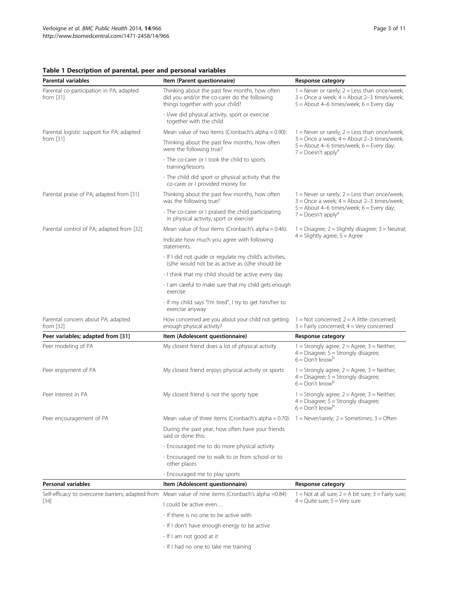## <span id="page-2-0"></span>Table 1 Description of parental, peer and personal variables

| <b>Parental variables</b>                                  | Item (Parent questionnaire)                                                                                                       | <b>Response category</b>                                                                                                                                                                |  |
|------------------------------------------------------------|-----------------------------------------------------------------------------------------------------------------------------------|-----------------------------------------------------------------------------------------------------------------------------------------------------------------------------------------|--|
| Parental co-participation in PA; adapted<br>from [31]      | Thinking about the past few months, how often<br>did you and/or the co-carer do the following<br>things together with your child? | $1 =$ Never or rarely; $2 =$ Less than once/week;<br>$3 =$ Once a week; $4 =$ About 2-3 times/week;<br>$5 =$ About 4–6 times/week; $6 =$ Every day                                      |  |
|                                                            | - I/we did physical activity, sport or exercise<br>together with the child                                                        |                                                                                                                                                                                         |  |
| Parental logistic support for PA; adapted                  | Mean value of two items (Cronbach's alpha $= 0.90$ ):                                                                             | $1 =$ Never or rarely; $2 =$ Less than once/week;<br>$3 =$ Once a week; $4 =$ About 2-3 times/week;<br>$5 =$ About 4-6 times/week; $6 =$ Every day;<br>$7 =$ Doesn't apply <sup>a</sup> |  |
| from $[31]$                                                | Thinking about the past few months, how often<br>were the following true?                                                         |                                                                                                                                                                                         |  |
|                                                            | - The co-carer or I took the child to sports<br>training/lessons                                                                  |                                                                                                                                                                                         |  |
|                                                            | - The child did sport or physical activity that the<br>co-carer or I provided money for                                           |                                                                                                                                                                                         |  |
| Parental praise of PA; adapted from [31]                   | Thinking about the past few months, how often<br>was the following true?                                                          | $1 =$ Never or rarely; $2 =$ Less than once/week;<br>$3$ = Once a week; $4$ = About 2-3 times/week;                                                                                     |  |
|                                                            | - The co-carer or I praised the child participating<br>in physical activity, sport or exercise                                    | 5 = About 4-6 times/week; 6 = Every day;<br>$7 =$ Doesn't apply <sup>a</sup>                                                                                                            |  |
| Parental control of PA; adapted from [32]                  | Mean value of four items (Cronbach's alpha = $0.46$ ):                                                                            | $1 = Disagree; 2 = Slightly disagree; 3 = Neutral;$                                                                                                                                     |  |
|                                                            | Indicate how much you agree with following<br>statements.                                                                         | $4 =$ Slightly agree; $5 =$ Agree                                                                                                                                                       |  |
|                                                            | - If I did not quide or regulate my child's activities,<br>(s) he would not be as active as (s) he should be                      |                                                                                                                                                                                         |  |
|                                                            | - I think that my child should be active every day                                                                                |                                                                                                                                                                                         |  |
|                                                            | - I am careful to make sure that my child gets enough<br>exercise                                                                 |                                                                                                                                                                                         |  |
|                                                            | - If my child says "I'm tired", I try to get him/her to<br>exercise anyway                                                        |                                                                                                                                                                                         |  |
| Parental concern about PA; adapted<br>from $[32]$          | How concerned are you about your child not getting<br>enough physical activity?                                                   | $1 = Not concerned$ ; $2 = A$ little concerned;<br>$3 =$ Fairly concerned; $4 =$ Very concerned                                                                                         |  |
| Peer variables; adapted from [31]                          | Item (Adolescent questionnaire)                                                                                                   | Response category                                                                                                                                                                       |  |
| Peer modeling of PA                                        | My closest friend does a lot of physical activity                                                                                 | $1 =$ Strongly agree; $2 =$ Agree; $3 =$ Neither;<br>$4$ = Disagree; $5$ = Strongly disagree;<br>$6 =$ Don't know <sup>b</sup>                                                          |  |
| Peer enjoyment of PA                                       | My closest friend enjoys physical activity or sports                                                                              | 1 = Strongly agree; $2 =$ Agree; $3 =$ Neither;<br>$4$ = Disagree; $5$ = Strongly disagree;<br>$6 = Don't knowb$                                                                        |  |
| Peer interest in PA                                        | My closest friend is not the sporty type                                                                                          | 1 = Strongly agree; $2 =$ Agree; $3 =$ Neither;<br>$4 = Disagree; 5 = Strongly disagree;$<br>$6 =$ Don't know <sup>b</sup>                                                              |  |
| Peer encouragement of PA                                   | Mean value of three items (Cronbach's alpha = $0.70$ ): $1 =$ Never/rarely; 2 = Sometimes; 3 = Often                              |                                                                                                                                                                                         |  |
|                                                            | During the past year, how often have your friends<br>said or done this:                                                           |                                                                                                                                                                                         |  |
|                                                            | - Encouraged me to do more physical activity                                                                                      |                                                                                                                                                                                         |  |
|                                                            | - Encouraged me to walk to or from school or to<br>other places                                                                   |                                                                                                                                                                                         |  |
|                                                            | - Encouraged me to play sports                                                                                                    |                                                                                                                                                                                         |  |
| Personal variables                                         | Item (Adolescent questionnaire)                                                                                                   | Response category                                                                                                                                                                       |  |
| Self-efficacy to overcome barriers; adapted from<br>$[34]$ | Mean value of nine items (Cronbach's alpha =0.84):                                                                                | $1 =$ Not at all sure; $2 =$ A bit sure; $3 =$ Fairly sure;<br>$4 =$ Quite sure; $5 =$ Very sure                                                                                        |  |
|                                                            | I could be active even                                                                                                            |                                                                                                                                                                                         |  |
|                                                            | - If there is no one to be active with                                                                                            |                                                                                                                                                                                         |  |
|                                                            | - If I don't have enough energy to be active                                                                                      |                                                                                                                                                                                         |  |
|                                                            | - If I am not good at it                                                                                                          |                                                                                                                                                                                         |  |
|                                                            | - If I had no one to take me training                                                                                             |                                                                                                                                                                                         |  |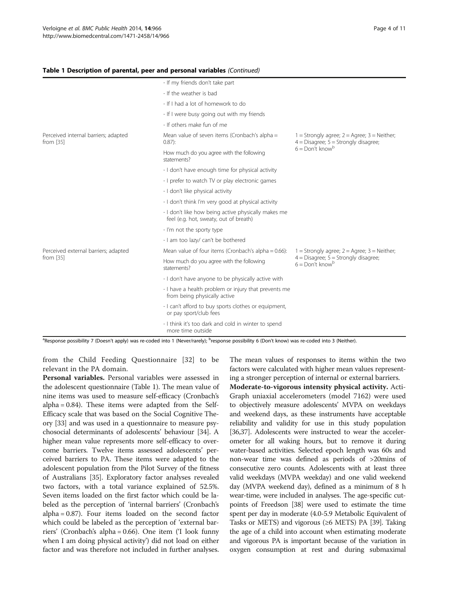#### Table 1 Description of parental, peer and personal variables (Continued)

|                                                     | - If my friends don't take part                                                                                            |                                                                                             |  |
|-----------------------------------------------------|----------------------------------------------------------------------------------------------------------------------------|---------------------------------------------------------------------------------------------|--|
|                                                     | - If the weather is bad                                                                                                    |                                                                                             |  |
|                                                     | - If I had a lot of homework to do                                                                                         |                                                                                             |  |
|                                                     | - If I were busy going out with my friends                                                                                 |                                                                                             |  |
|                                                     | - If others make fun of me                                                                                                 |                                                                                             |  |
| Perceived internal barriers; adapted<br>from $[35]$ | Mean value of seven items (Cronbach's alpha =<br>$0.87$ :                                                                  | 1 = Strongly agree; $2 =$ Agree; $3 =$ Neither;<br>$4$ = Disagree; $5$ = Strongly disagree; |  |
|                                                     | $6 =$ Don't know <sup>b</sup><br>How much do you agree with the following<br>statements?                                   |                                                                                             |  |
|                                                     | - I don't have enough time for physical activity                                                                           |                                                                                             |  |
|                                                     | - I prefer to watch TV or play electronic games                                                                            |                                                                                             |  |
|                                                     | - I don't like physical activity                                                                                           |                                                                                             |  |
|                                                     | - I don't think I'm very good at physical activity                                                                         |                                                                                             |  |
|                                                     | - I don't like how being active physically makes me<br>feel (e.g. hot, sweaty, out of breath)<br>- I'm not the sporty type |                                                                                             |  |
|                                                     |                                                                                                                            |                                                                                             |  |
|                                                     | - I am too lazy/ can't be bothered                                                                                         |                                                                                             |  |
| Perceived external barriers; adapted                | Mean value of four items (Cronbach's alpha = $0.66$ ):                                                                     | 1 = Strongly agree; $2 =$ Agree; $3 =$ Neither;                                             |  |
| from $[35]$                                         | How much do you agree with the following<br>statements?                                                                    | $4$ = Disagree; $5$ = Strongly disagree;<br>$6 =$ Don't know <sup>b</sup>                   |  |
|                                                     | - I don't have anyone to be physically active with                                                                         |                                                                                             |  |
|                                                     | - I have a health problem or injury that prevents me<br>from being physically active                                       |                                                                                             |  |
|                                                     | - I can't afford to buy sports clothes or equipment,<br>or pay sport/club fees                                             |                                                                                             |  |
|                                                     | - I think it's too dark and cold in winter to spend<br>more time outside                                                   |                                                                                             |  |

<sup>a</sup>Response possibility 7 (Doesn't apply) was re-coded into 1 (Never/rarely); <sup>b</sup>response possibility 6 (Don't know) was re-coded into 3 (Neither).

from the Child Feeding Questionnaire [[32](#page-10-0)] to be relevant in the PA domain.

Personal variables. Personal variables were assessed in the adolescent questionnaire (Table [1](#page-2-0)). The mean value of nine items was used to measure self-efficacy (Cronbach's alpha = 0.84). These items were adapted from the Self-Efficacy scale that was based on the Social Cognitive Theory [\[33\]](#page-10-0) and was used in a questionnaire to measure psychosocial determinants of adolescents' behaviour [[34](#page-10-0)]. A higher mean value represents more self-efficacy to overcome barriers. Twelve items assessed adolescents' perceived barriers to PA. These items were adapted to the adolescent population from the Pilot Survey of the fitness of Australians [[35\]](#page-10-0). Exploratory factor analyses revealed two factors, with a total variance explained of 52.5%. Seven items loaded on the first factor which could be labeled as the perception of 'internal barriers' (Cronbach's alpha = 0.87). Four items loaded on the second factor which could be labeled as the perception of 'external barriers' (Cronbach's alpha = 0.66). One item ('I look funny when I am doing physical activity') did not load on either factor and was therefore not included in further analyses.

The mean values of responses to items within the two factors were calculated with higher mean values representing a stronger perception of internal or external barriers.

Moderate-to-vigorous intensity physical activity. Acti-Graph uniaxial accelerometers (model 7162) were used to objectively measure adolescents' MVPA on weekdays and weekend days, as these instruments have acceptable reliability and validity for use in this study population [[36,37\]](#page-10-0). Adolescents were instructed to wear the accelerometer for all waking hours, but to remove it during water-based activities. Selected epoch length was 60s and non-wear time was defined as periods of >20mins of consecutive zero counts. Adolescents with at least three valid weekdays (MVPA weekday) and one valid weekend day (MVPA weekend day), defined as a minimum of 8 h wear-time, were included in analyses. The age-specific cutpoints of Freedson [\[38](#page-10-0)] were used to estimate the time spent per day in moderate (4.0-5.9 Metabolic Equivalent of Tasks or METS) and vigorous (≥6 METS) PA [\[39](#page-10-0)]. Taking the age of a child into account when estimating moderate and vigorous PA is important because of the variation in oxygen consumption at rest and during submaximal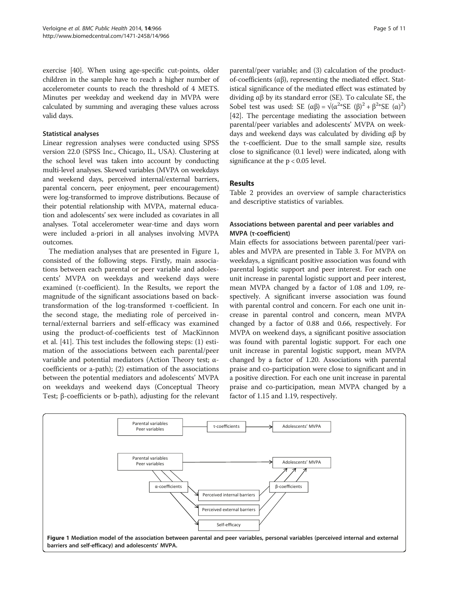exercise [\[40\]](#page-10-0). When using age-specific cut-points, older children in the sample have to reach a higher number of accelerometer counts to reach the threshold of 4 METS. Minutes per weekday and weekend day in MVPA were calculated by summing and averaging these values across valid days.

#### Statistical analyses

Linear regression analyses were conducted using SPSS version 22.0 (SPSS Inc., Chicago, IL, USA). Clustering at the school level was taken into account by conducting multi-level analyses. Skewed variables (MVPA on weekdays and weekend days, perceived internal/external barriers, parental concern, peer enjoyment, peer encouragement) were log-transformed to improve distributions. Because of their potential relationship with MVPA, maternal education and adolescents' sex were included as covariates in all analyses. Total accelerometer wear-time and days worn were included a-priori in all analyses involving MVPA outcomes.

The mediation analyses that are presented in Figure 1, consisted of the following steps. Firstly, main associations between each parental or peer variable and adolescents' MVPA on weekdays and weekend days were examined (τ-coefficient). In the Results, we report the magnitude of the significant associations based on backtransformation of the log-transformed τ-coefficient. In the second stage, the mediating role of perceived internal/external barriers and self-efficacy was examined using the product-of-coefficients test of MacKinnon et al. [[41](#page-10-0)]. This test includes the following steps: (1) estimation of the associations between each parental/peer variable and potential mediators (Action Theory test; αcoefficients or a-path); (2) estimation of the associations between the potential mediators and adolescents' MVPA on weekdays and weekend days (Conceptual Theory Test; β-coefficients or b-path), adjusting for the relevant

parental/peer variable; and (3) calculation of the productof-coefficients (αβ), representing the mediated effect. Statistical significance of the mediated effect was estimated by dividing αβ by its standard error (SE). To calculate SE, the Sobel test was used: SE  $(\alpha \beta) = \sqrt{(\alpha^2 * SE (\beta)^2 + \beta^2 * SE (\alpha)^2)}$ [[42](#page-10-0)]. The percentage mediating the association between parental/peer variables and adolescents' MVPA on weekdays and weekend days was calculated by dividing αβ by the τ-coefficient. Due to the small sample size, results close to significance (0.1 level) were indicated, along with significance at the  $p < 0.05$  level.

#### Results

Table [2](#page-5-0) provides an overview of sample characteristics and descriptive statistics of variables.

## Associations between parental and peer variables and MVPA (τ-coefficient)

Main effects for associations between parental/peer variables and MVPA are presented in Table [3](#page-6-0). For MVPA on weekdays, a significant positive association was found with parental logistic support and peer interest. For each one unit increase in parental logistic support and peer interest, mean MVPA changed by a factor of 1.08 and 1.09, respectively. A significant inverse association was found with parental control and concern. For each one unit increase in parental control and concern, mean MVPA changed by a factor of 0.88 and 0.66, respectively. For MVPA on weekend days, a significant positive association was found with parental logistic support. For each one unit increase in parental logistic support, mean MVPA changed by a factor of 1.20. Associations with parental praise and co-participation were close to significant and in a positive direction. For each one unit increase in parental praise and co-participation, mean MVPA changed by a factor of 1.15 and 1.19, respectively.

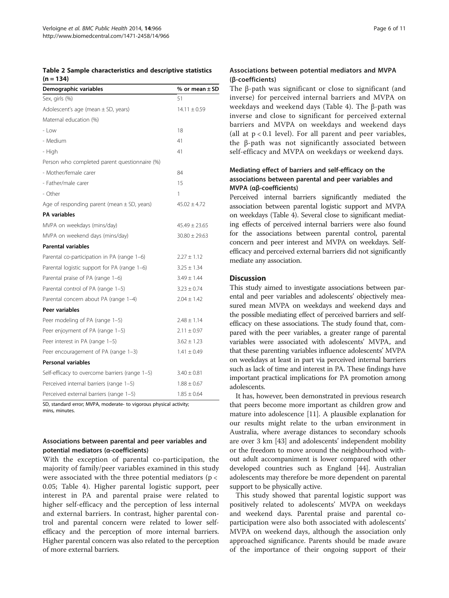<span id="page-5-0"></span>Table 2 Sample characteristics and descriptive statistics  $(n = 134)$ 

| Demographic variables                           | % or mean $\pm$ SD |
|-------------------------------------------------|--------------------|
| Sex, girls (%)                                  | 51                 |
| Adolescent's age (mean ± SD, years)             | $14.11 \pm 0.59$   |
| Maternal education (%)                          |                    |
| - Low                                           | 18                 |
| - Medium                                        | 41                 |
| - High                                          | 41                 |
| Person who completed parent questionnaire (%)   |                    |
| - Mother/female carer                           | 84                 |
| - Father/male carer                             | 15                 |
| - Other                                         | 1                  |
| Age of responding parent (mean $\pm$ SD, years) | $45.02 \pm 4.72$   |
| <b>PA</b> variables                             |                    |
| MVPA on weekdays (mins/day)                     | $45.49 \pm 23.65$  |
| MVPA on weekend days (mins/day)                 | $30.80 \pm 29.63$  |
| <b>Parental variables</b>                       |                    |
| Parental co-participation in PA (range 1-6)     | $2.27 \pm 1.12$    |
| Parental logistic support for PA (range 1-6)    | $3.25 \pm 1.34$    |
| Parental praise of PA (range 1-6)               | $3.49 \pm 1.44$    |
| Parental control of PA (range 1-5)              | $3.23 \pm 0.74$    |
| Parental concern about PA (range 1-4)           | $2.04 \pm 1.42$    |
| Peer variables                                  |                    |
| Peer modeling of PA (range 1-5)                 | $2.48 \pm 1.14$    |
| Peer enjoyment of PA (range 1-5)                | $2.11 \pm 0.97$    |
| Peer interest in PA (range 1-5)                 | $3.62 \pm 1.23$    |
| Peer encouragement of PA (range 1-3)            | $1.41 \pm 0.49$    |
| <b>Personal variables</b>                       |                    |
| Self-efficacy to overcome barriers (range 1-5)  | $3.40 \pm 0.81$    |
| Perceived internal barriers (range 1-5)         | $1.88 \pm 0.67$    |
| Perceived external barriers (range 1-5)         | $1.85 \pm 0.64$    |

SD, standard error; MVPA, moderate- to vigorous physical activity; mins, minutes.

## Associations between parental and peer variables and potential mediators (α-coefficients)

With the exception of parental co-participation, the majority of family/peer variables examined in this study were associated with the three potential mediators ( $p <$ 0.05; Table [4](#page-7-0)). Higher parental logistic support, peer interest in PA and parental praise were related to higher self-efficacy and the perception of less internal and external barriers. In contrast, higher parental control and parental concern were related to lower selfefficacy and the perception of more internal barriers. Higher parental concern was also related to the perception of more external barriers.

## Associations between potential mediators and MVPA (β-coefficients)

The β-path was significant or close to significant (and inverse) for perceived internal barriers and MVPA on weekdays and weekend days (Table [4](#page-7-0)). The β-path was inverse and close to significant for perceived external barriers and MVPA on weekdays and weekend days (all at  $p < 0.1$  level). For all parent and peer variables, the β-path was not significantly associated between self-efficacy and MVPA on weekdays or weekend days.

## Mediating effect of barriers and self-efficacy on the associations between parental and peer variables and MVPA (αβ-coefficients)

Perceived internal barriers significantly mediated the association between parental logistic support and MVPA on weekdays (Table [4](#page-7-0)). Several close to significant mediating effects of perceived internal barriers were also found for the associations between parental control, parental concern and peer interest and MVPA on weekdays. Selfefficacy and perceived external barriers did not significantly mediate any association.

## Discussion

This study aimed to investigate associations between parental and peer variables and adolescents' objectively measured mean MVPA on weekdays and weekend days and the possible mediating effect of perceived barriers and selfefficacy on these associations. The study found that, compared with the peer variables, a greater range of parental variables were associated with adolescents' MVPA, and that these parenting variables influence adolescents' MVPA on weekdays at least in part via perceived internal barriers such as lack of time and interest in PA. These findings have important practical implications for PA promotion among adolescents.

It has, however, been demonstrated in previous research that peers become more important as children grow and mature into adolescence [\[11\]](#page-10-0). A plausible explanation for our results might relate to the urban environment in Australia, where average distances to secondary schools are over 3 km [[43\]](#page-10-0) and adolescents' independent mobility or the freedom to move around the neighbourhood without adult accompaniment is lower compared with other developed countries such as England [\[44\]](#page-10-0). Australian adolescents may therefore be more dependent on parental support to be physically active.

This study showed that parental logistic support was positively related to adolescents' MVPA on weekdays and weekend days. Parental praise and parental coparticipation were also both associated with adolescents' MVPA on weekend days, although the association only approached significance. Parents should be made aware of the importance of their ongoing support of their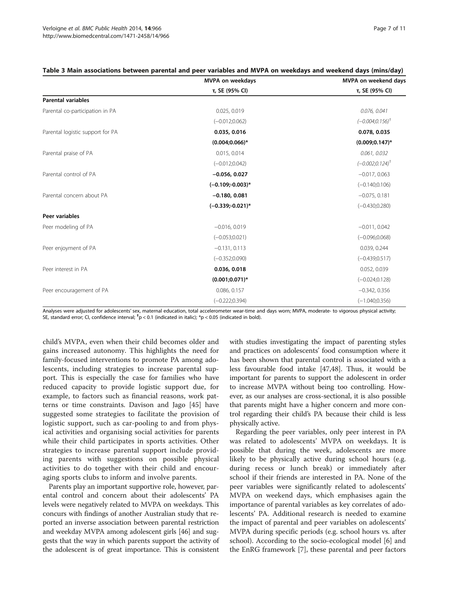|                                  | <b>MVPA on weekdays</b> | MVPA on weekend days        |
|----------------------------------|-------------------------|-----------------------------|
|                                  | τ, SE (95% CI)          | τ, SE (95% CI)              |
| <b>Parental variables</b>        |                         |                             |
| Parental co-participation in PA  | 0.025, 0.019            | 0.076, 0.041                |
|                                  | $(-0.012;0.062)$        | $(-0.004; 0.156)^+$         |
| Parental logistic support for PA | 0.035, 0.016            | 0.078, 0.035                |
|                                  | $(0.004; 0.066)^*$      | $(0.009; 0.147)^*$          |
| Parental praise of PA            | 0.015, 0.014            | 0.061, 0.032                |
|                                  | $(-0.012;0.042)$        | $(-0.002; 0.124)^{\dagger}$ |
| Parental control of PA           | $-0.056, 0.027$         | $-0.017, 0.063$             |
|                                  | $(-0.109; -0.003)*$     | $(-0.140;0.106)$            |
| Parental concern about PA        | $-0.180, 0.081$         | $-0.075, 0.181$             |
|                                  | $(-0.339; -0.021)^*$    | $(-0.430;0.280)$            |
| Peer variables                   |                         |                             |
| Peer modeling of PA              | $-0.016, 0.019$         | $-0.011, 0.042$             |
|                                  | $(-0.053;0.021)$        | $(-0.096;0.068)$            |
| Peer enjoyment of PA             | $-0.131, 0.113$         | 0.039, 0.244                |
|                                  | $(-0.352;0.090)$        | $(-0.439; 0.517)$           |
| Peer interest in PA              | 0.036, 0.018            | 0.052, 0.039                |
|                                  | $(0.001; 0.071)^*$      | $(-0.024; 0.128)$           |
| Peer encouragement of PA         | 0.086, 0.157            | $-0.342, 0.356$             |
|                                  | $(-0.222:0.394)$        | $(-1.040:0.356)$            |

#### <span id="page-6-0"></span>Table 3 Main associations between parental and peer variables and MVPA on weekdays and weekend days (mins/day)

Analyses were adjusted for adolescents' sex, maternal education, total accelerometer wear-time and days worn; MVPA, moderate- to vigorous physical activity; SE, standard error; CI, confidence interval;  $\textsuperscript{t}$ p < 0.1 (indicated in italic); \*p < 0.05 (indicated in bold).

child's MVPA, even when their child becomes older and gains increased autonomy. This highlights the need for family-focused interventions to promote PA among adolescents, including strategies to increase parental support. This is especially the case for families who have reduced capacity to provide logistic support due, for example, to factors such as financial reasons, work patterns or time constraints. Davison and Jago [\[45\]](#page-10-0) have suggested some strategies to facilitate the provision of logistic support, such as car-pooling to and from physical activities and organising social activities for parents while their child participates in sports activities. Other strategies to increase parental support include providing parents with suggestions on possible physical activities to do together with their child and encouraging sports clubs to inform and involve parents.

Parents play an important supportive role, however, parental control and concern about their adolescents' PA levels were negatively related to MVPA on weekdays. This concurs with findings of another Australian study that reported an inverse association between parental restriction and weekday MVPA among adolescent girls [\[46\]](#page-10-0) and suggests that the way in which parents support the activity of the adolescent is of great importance. This is consistent with studies investigating the impact of parenting styles and practices on adolescents' food consumption where it has been shown that parental control is associated with a less favourable food intake [[47,48](#page-10-0)]. Thus, it would be important for parents to support the adolescent in order to increase MVPA without being too controlling. However, as our analyses are cross-sectional, it is also possible that parents might have a higher concern and more control regarding their child's PA because their child is less physically active.

Regarding the peer variables, only peer interest in PA was related to adolescents' MVPA on weekdays. It is possible that during the week, adolescents are more likely to be physically active during school hours (e.g. during recess or lunch break) or immediately after school if their friends are interested in PA. None of the peer variables were significantly related to adolescents' MVPA on weekend days, which emphasises again the importance of parental variables as key correlates of adolescents' PA. Additional research is needed to examine the impact of parental and peer variables on adolescents' MVPA during specific periods (e.g. school hours vs. after school). According to the socio-ecological model [\[6](#page-9-0)] and the EnRG framework [\[7](#page-9-0)], these parental and peer factors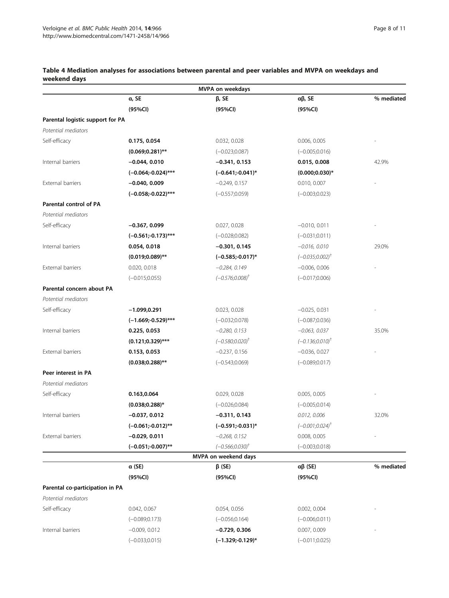| <b>MVPA on weekdays</b>          |                        |                             |                             |            |
|----------------------------------|------------------------|-----------------------------|-----------------------------|------------|
|                                  | a, SE                  | $\beta$ , SE                | $\alpha\beta$ , SE          | % mediated |
|                                  | (95%CI)                | (95%CI)                     | (95%CI)                     |            |
| Parental logistic support for PA |                        |                             |                             |            |
| Potential mediators              |                        |                             |                             |            |
| Self-efficacy                    | 0.175, 0.054           | 0.032, 0.028                | 0.006, 0.005                |            |
|                                  | $(0.069; 0.281)$ **    | $(-0.023;0.087)$            | $(-0.005;0.016)$            |            |
| Internal barriers                | $-0.044, 0.010$        | $-0.341, 0.153$             | 0.015, 0.008                | 42.9%      |
|                                  | $(-0.064; -0.024)$ *** | $(-0.641; -0.041)^*$        | $(0.000; 0.030)^*$          |            |
| External barriers                | $-0.040, 0.009$        | $-0.249, 0.157$             | 0.010, 0.007                |            |
|                                  | $(-0.058; -0.022)$ *** | $(-0.557;0.059)$            | $(-0.003;0.023)$            |            |
| <b>Parental control of PA</b>    |                        |                             |                             |            |
| Potential mediators              |                        |                             |                             |            |
| Self-efficacy                    | $-0.367, 0.099$        | 0.027, 0.028                | $-0.010, 0.011$             |            |
|                                  | $(-0.561,-0.173)$ ***  | $(-0.028;0.082)$            | $(-0.031;0.011)$            |            |
| Internal barriers                | 0.054, 0.018           | $-0.301, 0.145$             | $-0.016, 0.010$             | 29.0%      |
|                                  | $(0.019; 0.089)$ **    | $(-0.585; -0.017)^*$        | $(-0.035;0.002)^{\dagger}$  |            |
| External barriers                | 0.020, 0.018           | $-0.284, 0.149$             | $-0.006, 0.006$             |            |
|                                  | $(-0.015;0.055)$       | $(-0.576; 0.008)^{\dagger}$ | $(-0.017;0.006)$            |            |
| Parental concern about PA        |                        |                             |                             |            |
| Potential mediators              |                        |                             |                             |            |
| Self-efficacy                    | $-1.099, 0.291$        | 0.023, 0.028                | $-0.025, 0.031$             |            |
|                                  | $(-1.669; -0.529)$ *** | $(-0.032;0.078)$            | $(-0.087;0.036)$            |            |
| Internal barriers                | 0.225, 0.053           | $-0.280, 0.153$             | $-0.063, 0.037$             | 35.0%      |
|                                  | $(0.121; 0.329)$ ***   | $(-0.580; 0.020)^{\dagger}$ | $(-0.136;0.010)^{\dagger}$  |            |
| External barriers                | 0.153, 0.053           | $-0.237, 0.156$             | $-0.036, 0.027$             |            |
|                                  | $(0.038; 0.288)$ **    | $(-0.543;0.069)$            | $(-0.089;0.017)$            |            |
| Peer interest in PA              |                        |                             |                             |            |
| Potential mediators              |                        |                             |                             |            |
| Self-efficacy                    | 0.163,0.064            | 0.029, 0.028                | 0.005, 0.005                |            |
|                                  | $(0.038; 0.288)^*$     | $(-0.026;0.084)$            | $(-0.005;0.014)$            |            |
| Internal barriers                | $-0.037, 0.012$        | $-0.311, 0.143$             | 0.012, 0.006                | 32.0%      |
|                                  | $(-0.061; -0.012)$ **  | $(-0.591; -0.031)^*$        | $(-0.001; 0.024)^{\dagger}$ |            |
| External barriers                | $-0.029, 0.011$        | $-0.268, 0.152$             | 0.008, 0.005                |            |
|                                  | $(-0.051; -0.007)$ **  | $(-0.566; 0.030)^{\dagger}$ | $(-0.003;0.018)$            |            |
|                                  |                        | MVPA on weekend days        |                             |            |
|                                  | <b>α</b> (SE)          | $\beta$ (SE)                | $\alpha\beta$ (SE)          | % mediated |
|                                  | (95%CI)                | (95%CI)                     | (95%CI)                     |            |
| Parental co-participation in PA  |                        |                             |                             |            |
| Potential mediators              |                        |                             |                             |            |
| Self-efficacy                    | 0.042, 0.067           | 0.054, 0.056                | 0.002, 0.004                |            |
|                                  | $(-0.089; 0.173)$      | $(-0.056; 0.164)$           | $(-0.006;0.011)$            |            |
| Internal barriers                | $-0.009, 0.012$        | $-0.729, 0.306$             | 0.007, 0.009                |            |
|                                  | $(-0.033;0.015)$       | $(-1.329; -0.129)^*$        | $(-0.011;0.025)$            |            |

## <span id="page-7-0"></span>Table 4 Mediation analyses for associations between parental and peer variables and MVPA on weekdays and weekend days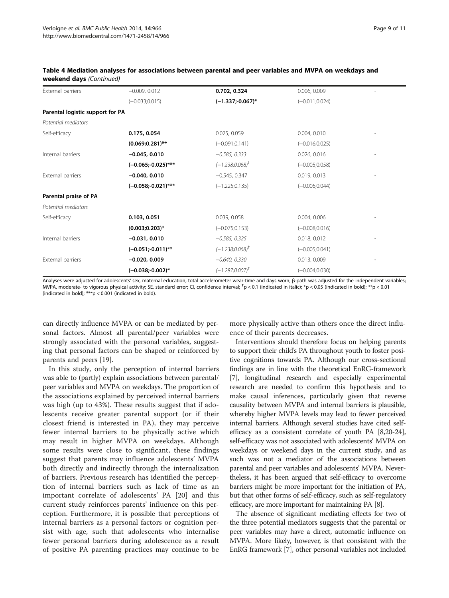| $-0.009, 0.012$                  | 0.702, 0.324                | 0.006, 0.009      |  |
|----------------------------------|-----------------------------|-------------------|--|
| $(-0.033;0.015)$                 | $(-1.337; -0.067)^*$        | $(-0.011; 0.024)$ |  |
| Parental logistic support for PA |                             |                   |  |
|                                  |                             |                   |  |
| 0.175, 0.054                     | 0.025, 0.059                | 0.004, 0.010      |  |
| $(0.069; 0.281)$ **              | $(-0.091; 0.141)$           | $(-0.016;0.025)$  |  |
| $-0.045, 0.010$                  | $-0.585, 0.333$             | 0.026, 0.016      |  |
| $(-0.065; -0.025)$ ***           | $(-1.238; 0.068)^{\dagger}$ | $(-0.005;0.058)$  |  |
| $-0.040, 0.010$                  | $-0.545, 0.347$             | 0.019, 0.013      |  |
| $(-0.058,-0.021)$ ***            | $(-1.225; 0.135)$           | $(-0.006; 0.044)$ |  |
|                                  |                             |                   |  |
|                                  |                             |                   |  |
| 0.103, 0.051                     | 0.039, 0.058                | 0.004, 0.006      |  |
| $(0.003; 0.203)^*$               | $(-0.075; 0.153)$           | $(-0.008;0.016)$  |  |
| $-0.031, 0.010$                  | $-0.585, 0.325$             | 0.018, 0.012      |  |
| $(-0.051,-0.011)$ **             | $(-1.238; 0.068)^{\dagger}$ | $(-0.005;0.041)$  |  |
| $-0.020, 0.009$                  | $-0.640, 0.330$             | 0.013, 0.009      |  |
| $(-0.038; -0.002)*$              | $(-1.287; 0.007)^{\dagger}$ | $(-0.004;0.030)$  |  |
|                                  |                             |                   |  |

#### Table 4 Mediation analyses for associations between parental and peer variables and MVPA on weekdays and weekend days (Continued)

Analyses were adjusted for adolescents' sex, maternal education, total accelerometer wear-time and days worn; β-path was adjusted for the independent variables; MVPA, moderate- to vigorous physical activity; SE, standard error; CI, confidence interval;  $^\dagger$ p < 0.1 (indicated in italic); \*p < 0.05 (indicated in bold); \*\*p < 0.01 (indicated in bold);  $***p < 0.001$  (indicated in bold).

can directly influence MVPA or can be mediated by personal factors. Almost all parental/peer variables were strongly associated with the personal variables, suggesting that personal factors can be shaped or reinforced by parents and peers [\[19](#page-10-0)].

In this study, only the perception of internal barriers was able to (partly) explain associations between parental/ peer variables and MVPA on weekdays. The proportion of the associations explained by perceived internal barriers was high (up to 43%). These results suggest that if adolescents receive greater parental support (or if their closest friend is interested in PA), they may perceive fewer internal barriers to be physically active which may result in higher MVPA on weekdays. Although some results were close to significant, these findings suggest that parents may influence adolescents' MVPA both directly and indirectly through the internalization of barriers. Previous research has identified the perception of internal barriers such as lack of time as an important correlate of adolescents' PA [[20\]](#page-10-0) and this current study reinforces parents' influence on this perception. Furthermore, it is possible that perceptions of internal barriers as a personal factors or cognition persist with age, such that adolescents who internalise fewer personal barriers during adolescence as a result of positive PA parenting practices may continue to be

more physically active than others once the direct influence of their parents decreases.

Interventions should therefore focus on helping parents to support their child's PA throughout youth to foster positive cognitions towards PA. Although our cross-sectional findings are in line with the theoretical EnRG-framework [[7](#page-9-0)], longitudinal research and especially experimental research are needed to confirm this hypothesis and to make causal inferences, particularly given that reverse causality between MVPA and internal barriers is plausible, whereby higher MVPA levels may lead to fewer perceived internal barriers. Although several studies have cited selfefficacy as a consistent correlate of youth PA [\[8](#page-9-0)[,20-24](#page-10-0)], self-efficacy was not associated with adolescents' MVPA on weekdays or weekend days in the current study, and as such was not a mediator of the associations between parental and peer variables and adolescents' MVPA. Nevertheless, it has been argued that self-efficacy to overcome barriers might be more important for the initiation of PA, but that other forms of self-efficacy, such as self-regulatory efficacy, are more important for maintaining PA [[8](#page-9-0)].

The absence of significant mediating effects for two of the three potential mediators suggests that the parental or peer variables may have a direct, automatic influence on MVPA. More likely, however, is that consistent with the EnRG framework [[7](#page-9-0)], other personal variables not included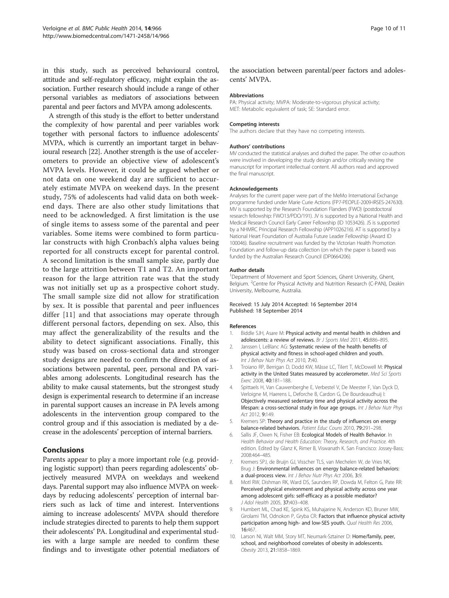<span id="page-9-0"></span>in this study, such as perceived behavioural control, attitude and self-regulatory efficacy, might explain the association. Further research should include a range of other personal variables as mediators of associations between parental and peer factors and MVPA among adolescents.

A strength of this study is the effort to better understand the complexity of how parental and peer variables work together with personal factors to influence adolescents' MVPA, which is currently an important target in behavioural research [\[22\]](#page-10-0). Another strength is the use of accelerometers to provide an objective view of adolescent's MVPA levels. However, it could be argued whether or not data on one weekend day are sufficient to accurately estimate MVPA on weekend days. In the present study, 75% of adolescents had valid data on both weekend days. There are also other study limitations that need to be acknowledged. A first limitation is the use of single items to assess some of the parental and peer variables. Some items were combined to form particular constructs with high Cronbach's alpha values being reported for all constructs except for parental control. A second limitation is the small sample size, partly due to the large attrition between T1 and T2. An important reason for the large attrition rate was that the study was not initially set up as a prospective cohort study. The small sample size did not allow for stratification by sex. It is possible that parental and peer influences differ [[11\]](#page-10-0) and that associations may operate through different personal factors, depending on sex. Also, this may affect the generalizability of the results and the ability to detect significant associations. Finally, this study was based on cross-sectional data and stronger study designs are needed to confirm the direction of associations between parental, peer, personal and PA variables among adolescents. Longitudinal research has the ability to make causal statements, but the strongest study design is experimental research to determine if an increase in parental support causes an increase in PA levels among adolescents in the intervention group compared to the control group and if this association is mediated by a decrease in the adolescents' perception of internal barriers.

#### Conclusions

Parents appear to play a more important role (e.g. providing logistic support) than peers regarding adolescents' objectively measured MVPA on weekdays and weekend days. Parental support may also influence MVPA on weekdays by reducing adolescents' perception of internal barriers such as lack of time and interest. Interventions aiming to increase adolescents' MVPA should therefore include strategies directed to parents to help them support their adolescents' PA. Longitudinal and experimental studies with a large sample are needed to confirm these findings and to investigate other potential mediators of the association between parental/peer factors and adolescents' MVPA.

#### Abbreviations

PA: Physical activity; MVPA: Moderate-to-vigorous physical activity; MET: Metabolic equivalent of task; SE: Standard error.

#### Competing interests

The authors declare that they have no competing interests.

#### Authors' contributions

MV conducted the statistical analyses and drafted the paper. The other co-authors were involved in developing the study design and/or critically revising the manuscript for important intellectual content. All authors read and approved the final manuscript.

#### Acknowledgements

Analyses for the current paper were part of the MeMo International Exchange programme funded under Marie Curie Actions (FP7-PEOPLE-2009-IRSES-247630). MV is supported by the Research Foundation Flanders (FWO) (postdoctoral research fellowship: FWO13/PDO/191). JV is supported by a National Health and Medical Research Council Early Career Fellowship (ID 1053426). JS is supported by a NHMRC Principal Research Fellowship (APP1026216). AT is supported by a National Heart Foundation of Australia Future Leader Fellowship (Award ID 100046). Baseline recruitment was funded by the Victorian Health Promotion Foundation and follow-up data collection (on which the paper is based) was funded by the Australian Research Council (DP0664206).

#### Author details

<sup>1</sup>Department of Movement and Sport Sciences, Ghent University, Ghent, Belgium. <sup>2</sup>Centre for Physical Activity and Nutrition Research (C-PAN), Deakin University, Melbourne, Australia.

#### Received: 15 July 2014 Accepted: 16 September 2014 Published: 18 September 2014

#### References

- 1. Biddle SJH, Asare M: Physical activity and mental health in children and adolescents: a review of reviews. Br J Sports Med 2011, 45:886-895.
- 2. Janssen I, LeBlanc AG: Systematic review of the health benefits of physical activity and fitness in school-aged children and youth. Int J Behav Nutr Phys Act 2010, 7:40.
- 3. Troiano RP, Berrigan D, Dodd KW, Mâsse LC, Tilert T, McDowell M: Physical activity in the United States measured by accelerometer. Med Sci Sports Exerc 2008, 40:181–188.
- 4. Spittaels H, Van Cauwenberghe E, Verbestel V, De Meester F, Van Dyck D, Verloigne M, Haerens L, Deforche B, Cardon G, De Bourdeaudhuij I: Objectively measured sedentary time and physical activity across the lifespan: a cross-sectional study in four age groups. Int J Behav Nutr Phys Act 2012, 9:149.
- 5. Kremers SP: Theory and practice in the study of influences on energy balance-related behaviors. Patient Educ Couns 2010, 79:291–298.
- 6. Sallis JF, Owen N, Fisher EB: Ecological Models of Health Behavior. In Health Behavior and Health Education: Theory, Research, and Practice. 4th edition. Edited by Glanz K, Rimer B, Viswanath K. San Francisco: Jossey-Bass; 2008:464–485.
- 7. Kremers SPJ, de Bruijn GJ, Visscher TLS, van Mechelen W, de Vries NK, Brug J: Environmental influences on energy balance-related behaviors: a dual-process view. Int J Behav Nutr Phys Act 2006, 3:9.
- 8. Motl RW, Dishman RK, Ward DS, Saunders RP, Dowda M, Felton G, Pate RR: Perceived physical environment and physical activity across one year among adolescent girls: self-efficacy as a possible mediator? J Adol Health 2005, 37:403–408.
- 9. Humbert ML, Chad KE, Spink KS, Muhajarine N, Anderson KD, Bruner MW, Girolami TM, Odnokon P, Gryba CR: Factors that influence physical activity participation among high- and low-SES youth. Qual Health Res 2006, 16:467.
- 10. Larson NI, Walt MM, Story MT, Neumark-Sztainer D: Home/family, peer, school, and neighborhood correlates of obesity in adolescents. Obesity 2013, 21:1858–1869.